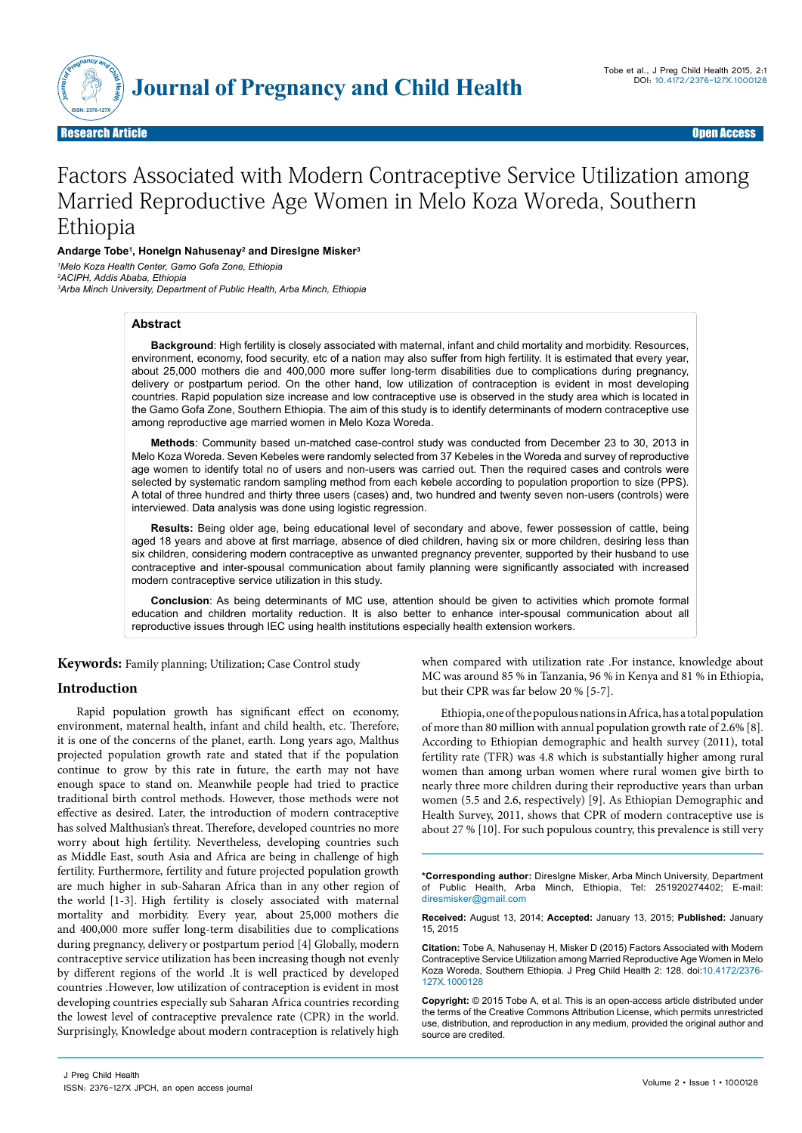

# Factors Associated with Modern Contraceptive Service Utilization among Married Reproductive Age Women in Melo Koza Woreda, Southern Ethiopia

#### **Andarge Tobe1 , Honelgn Nahusenay2 and Direslgne Misker3**

*1 Melo Koza Health Center, Gamo Gofa Zone, Ethiopia 2 ACIPH, Addis Ababa, Ethiopia 3 Arba Minch University, Department of Public Health, Arba Minch, Ethiopia*

#### **Abstract**

**Background**: High fertility is closely associated with maternal, infant and child mortality and morbidity. Resources, environment, economy, food security, etc of a nation may also suffer from high fertility. It is estimated that every year, about 25,000 mothers die and 400,000 more suffer long-term disabilities due to complications during pregnancy, delivery or postpartum period. On the other hand, low utilization of contraception is evident in most developing countries. Rapid population size increase and low contraceptive use is observed in the study area which is located in the Gamo Gofa Zone, Southern Ethiopia. The aim of this study is to identify determinants of modern contraceptive use among reproductive age married women in Melo Koza Woreda.

**Methods**: Community based un-matched case-control study was conducted from December 23 to 30, 2013 in Melo Koza Woreda. Seven Kebeles were randomly selected from 37 Kebeles in the Woreda and survey of reproductive age women to identify total no of users and non-users was carried out. Then the required cases and controls were selected by systematic random sampling method from each kebele according to population proportion to size (PPS). A total of three hundred and thirty three users (cases) and, two hundred and twenty seven non-users (controls) were interviewed. Data analysis was done using logistic regression.

**Results:** Being older age, being educational level of secondary and above, fewer possession of cattle, being aged 18 years and above at first marriage, absence of died children, having six or more children, desiring less than six children, considering modern contraceptive as unwanted pregnancy preventer, supported by their husband to use contraceptive and inter-spousal communication about family planning were significantly associated with increased modern contraceptive service utilization in this study.

**Conclusion**: As being determinants of MC use, attention should be given to activities which promote formal education and children mortality reduction. It is also better to enhance inter-spousal communication about all reproductive issues through IEC using health institutions especially health extension workers.

**Keywords:** Family planning; Utilization; Case Control study

# **Introduction**

Rapid population growth has significant effect on economy, environment, maternal health, infant and child health, etc. Therefore, it is one of the concerns of the planet, earth. Long years ago, Malthus projected population growth rate and stated that if the population continue to grow by this rate in future, the earth may not have enough space to stand on. Meanwhile people had tried to practice traditional birth control methods. However, those methods were not effective as desired. Later, the introduction of modern contraceptive has solved Malthusian's threat. Therefore, developed countries no more worry about high fertility. Nevertheless, developing countries such as Middle East, south Asia and Africa are being in challenge of high fertility. Furthermore, fertility and future projected population growth are much higher in sub-Saharan Africa than in any other region of the world [1-3]. High fertility is closely associated with maternal mortality and morbidity. Every year, about 25,000 mothers die and 400,000 more suffer long-term disabilities due to complications during pregnancy, delivery or postpartum period [4] Globally, modern contraceptive service utilization has been increasing though not evenly by different regions of the world .It is well practiced by developed countries .However, low utilization of contraception is evident in most developing countries especially sub Saharan Africa countries recording the lowest level of contraceptive prevalence rate (CPR) in the world. Surprisingly, Knowledge about modern contraception is relatively high

J Preg Child Health ISSN: 2376-127X JPCH, an open access journal

when compared with utilization rate .For instance, knowledge about MC was around 85 % in Tanzania, 96 % in Kenya and 81 % in Ethiopia, but their CPR was far below 20 % [5-7].

Ethiopia, one of the populous nations in Africa, has a total population of more than 80 million with annual population growth rate of 2.6% [8]. According to Ethiopian demographic and health survey (2011), total fertility rate (TFR) was 4.8 which is substantially higher among rural women than among urban women where rural women give birth to nearly three more children during their reproductive years than urban women (5.5 and 2.6, respectively) [9]. As Ethiopian Demographic and Health Survey, 2011, shows that CPR of modern contraceptive use is about 27 % [10]. For such populous country, this prevalence is still very

**\*Corresponding author:** Direslgne Misker, Arba Minch University, Department of Public Health, Arba Minch, Ethiopia, Tel: 251920274402; E-mail: diresmisker@gmail.com

**Received:** August 13, 2014; **Accepted:** January 13, 2015; **Published:** January 15, 2015

**Citation:** Tobe A, Nahusenay H, Misker D (2015) Factors Associated with Modern Contraceptive Service Utilization among Married Reproductive Age Women in Melo Koza Woreda, Southern Ethiopia. J Preg Child Health 2: 128. doi:[10.4172/2376-](http://dx.doi.org/10.4172/2376-127X.1000128) [127X.1000128](http://dx.doi.org/10.4172/2376-127X.1000128)

**Copyright:** © 2015 Tobe A, et al. This is an open-access article distributed under the terms of the Creative Commons Attribution License, which permits unrestricted use, distribution, and reproduction in any medium, provided the original author and source are credited.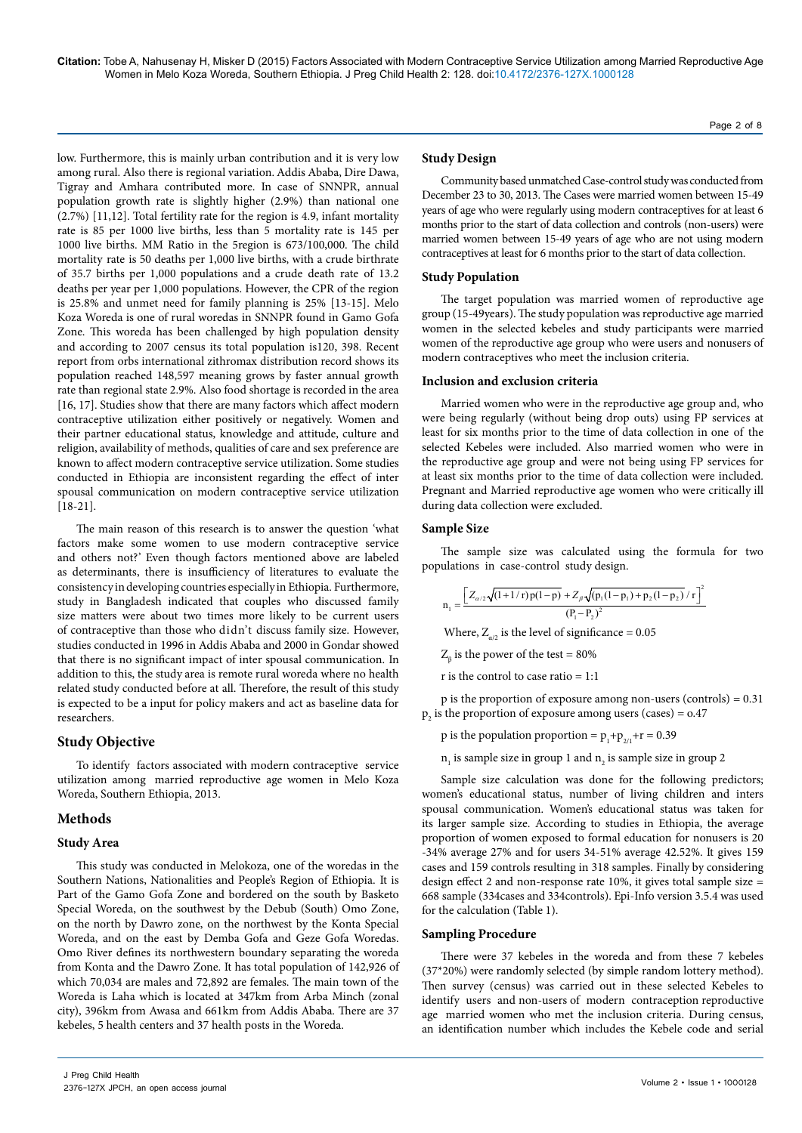**Citation:** Tobe A, Nahusenay H, Misker D (2015) Factors Associated with Modern Contraceptive Service Utilization among Married Reproductive Age Women in Melo Koza Woreda, Southern Ethiopia. J Preg Child Health 2: 128. doi:10.4172/2376-127X.1000128

low. Furthermore, this is mainly urban contribution and it is very low among rural. Also there is regional variation. Addis Ababa, Dire Dawa, Tigray and Amhara contributed more. In case of SNNPR, annual population growth rate is slightly higher (2.9%) than national one (2.7%) [11,12]. Total fertility rate for the region is 4.9, infant mortality rate is 85 per 1000 live births, less than 5 mortality rate is 145 per 1000 live births. MM Ratio in the 5region is 673/100,000. The child mortality rate is 50 deaths per 1,000 live births, with a crude birthrate of 35.7 births per 1,000 populations and a crude death rate of 13.2 deaths per year per 1,000 populations. However, the CPR of the region is 25.8% and unmet need for family planning is 25% [13-15]. Melo Koza Woreda is one of rural woredas in SNNPR found in Gamo Gofa Zone. This woreda has been challenged by high population density and according to 2007 census its total population is120, 398. Recent report from orbs international zithromax distribution record shows its population reached 148,597 meaning grows by faster annual growth rate than regional state 2.9%. Also food shortage is recorded in the area [16, 17]. Studies show that there are many factors which affect modern contraceptive utilization either positively or negatively. Women and their partner educational status, knowledge and attitude, culture and religion, availability of methods, qualities of care and sex preference are known to affect modern contraceptive service utilization. Some studies conducted in Ethiopia are inconsistent regarding the effect of inter spousal communication on modern contraceptive service utilization [18-21].

The main reason of this research is to answer the question 'what factors make some women to use modern contraceptive service and others not?' Even though factors mentioned above are labeled as determinants, there is insufficiency of literatures to evaluate the consistency in developing countries especially in Ethiopia. Furthermore, study in Bangladesh indicated that couples who discussed family size matters were about two times more likely to be current users of contraceptive than those who didn't discuss family size. However, studies conducted in 1996 in Addis Ababa and 2000 in Gondar showed that there is no significant impact of inter spousal communication. In addition to this, the study area is remote rural woreda where no health related study conducted before at all. Therefore, the result of this study is expected to be a input for policy makers and act as baseline data for researchers.

# **Study Objective**

To identify factors associated with modern contraceptive service utilization among married reproductive age women in Melo Koza Woreda, Southern Ethiopia, 2013.

# **Methods**

#### **Study Area**

This study was conducted in Melokoza, one of the woredas in the Southern Nations, Nationalities and People's Region of Ethiopia. It is Part of the Gamo Gofa Zone and bordered on the south by Basketo Special Woreda, on the southwest by the Debub (South) Omo Zone, on the north by Dawro zone, on the northwest by the Konta Special Woreda, and on the east by Demba Gofa and Geze Gofa Woredas. Omo River defines its northwestern boundary separating the woreda from Konta and the Dawro Zone. It has total population of 142,926 of which 70,034 are males and 72,892 are females. The main town of the Woreda is Laha which is located at 347km from Arba Minch (zonal city), 396km from Awasa and 661km from Addis Ababa. There are 37 kebeles, 5 health centers and 37 health posts in the Woreda.

#### **Study Design**

Community based unmatched Case-control study was conducted from December 23 to 30, 2013. The Cases were married women between 15-49 years of age who were regularly using modern contraceptives for at least 6 months prior to the start of data collection and controls (non-users) were married women between 15-49 years of age who are not using modern contraceptives at least for 6 months prior to the start of data collection.

# **Study Population**

The target population was married women of reproductive age group (15-49years). The study population was reproductive age married women in the selected kebeles and study participants were married women of the reproductive age group who were users and nonusers of modern contraceptives who meet the inclusion criteria.

#### **Inclusion and exclusion criteria**

Married women who were in the reproductive age group and, who were being regularly (without being drop outs) using FP services at least for six months prior to the time of data collection in one of the selected Kebeles were included. Also married women who were in the reproductive age group and were not being using FP services for at least six months prior to the time of data collection were included. Pregnant and Married reproductive age women who were critically ill during data collection were excluded.

#### **Sample Size**

The sample size was calculated using the formula for two populations in case-control study design.

$$
n_1 = \frac{\left[Z_{\alpha/2}\sqrt{(1+1/r)p(1-p)} + Z_{\beta}\sqrt{(p_1(1-p_1)+p_2(1-p_2)}/r\right]^2}{(P_1-P_2)^2}
$$

Where,  $Z_{\alpha/2}$  is the level of significance = 0.05

 $Z_{\beta}$  is the power of the test = 80%

r is the control to case ratio = 1:1

p is the proportion of exposure among non-users (controls) = 0.31  $p_2$  is the proportion of exposure among users (cases) = 0.47

p is the population proportion =  $p_1 + p_{2/1} + r = 0.39$ 

 $\mathbf{n}_1$  is sample size in group 2 and  $\mathbf{n}_2$  is sample size in group 2

Sample size calculation was done for the following predictors; women's educational status, number of living children and inters spousal communication. Women's educational status was taken for its larger sample size. According to studies in Ethiopia, the average proportion of women exposed to formal education for nonusers is 20 -34% average 27% and for users 34-51% average 42.52%. It gives 159 cases and 159 controls resulting in 318 samples. Finally by considering design effect 2 and non-response rate 10%, it gives total sample size = 668 sample (334cases and 334controls). Epi-Info version 3.5.4 was used for the calculation (Table 1).

#### **Sampling Procedure**

There were 37 kebeles in the woreda and from these 7 kebeles (37\*20%) were randomly selected (by simple random lottery method). Then survey (census) was carried out in these selected Kebeles to identify users and non-users of modern contraception reproductive age married women who met the inclusion criteria. During census, an identification number which includes the Kebele code and serial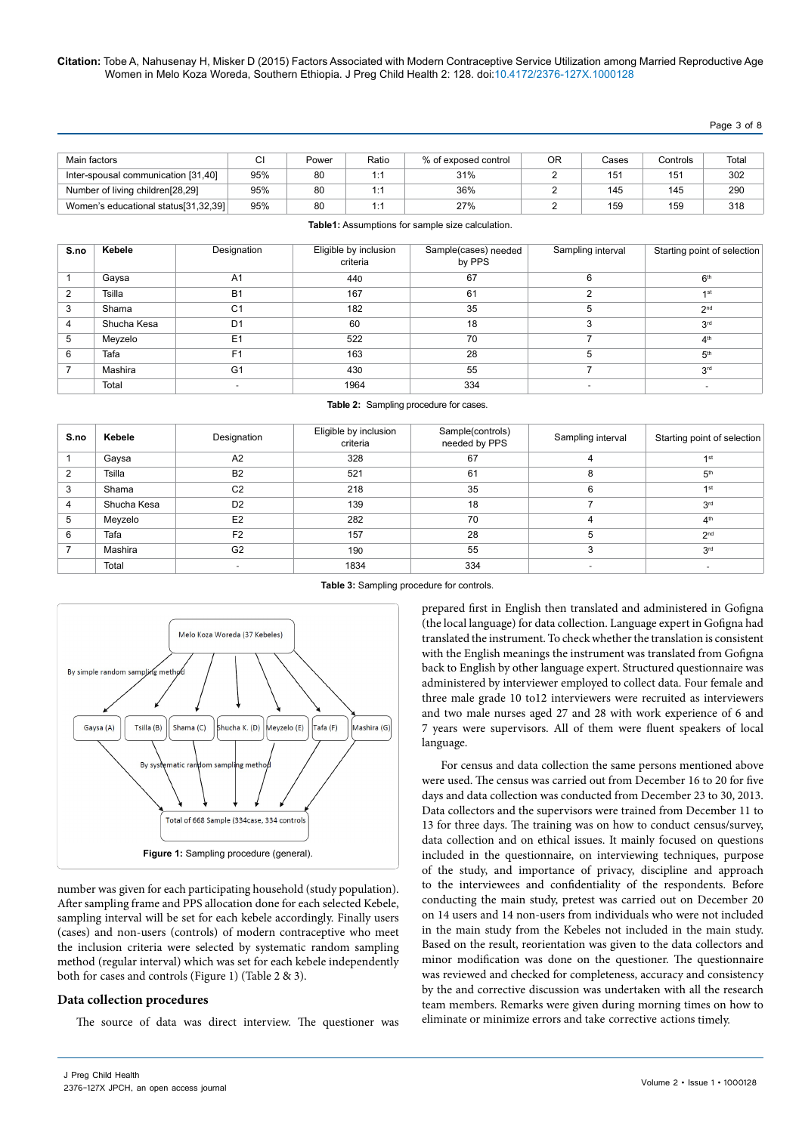# Page 3 of 8

| Main factors                          | ◡   | Power | Ratio | % of exposed control | ΟR | Cases           | Controls | Total |
|---------------------------------------|-----|-------|-------|----------------------|----|-----------------|----------|-------|
| Inter-spousal communication [31,40]   | 95% | 80    | 4 - 4 | 31%                  |    | 15 <sup>′</sup> | 151      | 302   |
| Number of living children[28,29]      | 95% | 80    | 4.4   | 36%                  |    | 145             | 145      | 290   |
| Women's educational status [31,32,39] | 95% | 80    | 4 - 4 | 27%                  |    | 159             | 159      | 318   |

| S.no | <b>Kebele</b> | Designation    | Eligible by inclusion<br>criteria | Sample(cases) needed<br>by PPS | Sampling interval        | Starting point of selection |
|------|---------------|----------------|-----------------------------------|--------------------------------|--------------------------|-----------------------------|
|      | Gaysa         | A <sub>1</sub> | 440                               | 67                             | 6                        | 6 <sup>th</sup>             |
| 2    | Tsilla        | <b>B1</b>      | 167                               | 61                             |                          | 1st                         |
| 3    | Shama         | C <sub>1</sub> | 182                               | 35                             | 5                        | 2 <sub>nd</sub>             |
| 4    | Shucha Kesa   | D <sub>1</sub> | 60                                | 18                             |                          | 3 <sup>rd</sup>             |
| 5    | Meyzelo       | E <sub>1</sub> | 522                               | 70                             |                          | 4 <sup>th</sup>             |
| 6    | Tafa          | F <sub>1</sub> | 163                               | 28                             |                          | 5 <sup>th</sup>             |
|      | Mashira       | G <sub>1</sub> | 430                               | 55                             |                          | 3 <sup>rd</sup>             |
|      | Total         |                | 1964                              | 334                            | $\overline{\phantom{a}}$ |                             |

**Table 2:** Sampling procedure for cases.

| S.no | Kebele      | Designation    | Eligible by inclusion<br>criteria | Sample(controls)<br>needed by PPS | Sampling interval | Starting point of selection |
|------|-------------|----------------|-----------------------------------|-----------------------------------|-------------------|-----------------------------|
|      | Gaysa       | A2             | 328                               | 67                                | 4                 | 1st                         |
| 2    | Tsilla      | <b>B2</b>      | 521                               | 61                                | 8                 | 5 <sup>th</sup>             |
| 3    | Shama       | C <sub>2</sub> | 218                               | 35                                | 6                 | $\sim$ 1 st                 |
| 4    | Shucha Kesa | D <sub>2</sub> | 139                               | 18                                |                   | 3 <sup>rd</sup>             |
| 5    | Meyzelo     | E <sub>2</sub> | 282                               | 70                                | 4                 | 4 <sup>th</sup>             |
| 6    | Tafa        | F <sub>2</sub> | 157                               | 28                                | 5                 | 2 <sup>nd</sup>             |
|      | Mashira     | G <sub>2</sub> | 190                               | 55                                |                   | 3 <sup>rd</sup>             |
|      | Total       |                | 1834                              | 334                               |                   |                             |



number was given for each participating household (study population). After sampling frame and PPS allocation done for each selected Kebele, sampling interval will be set for each kebele accordingly. Finally users (cases) and non-users (controls) of modern contraceptive who meet the inclusion criteria were selected by systematic random sampling method (regular interval) which was set for each kebele independently both for cases and controls (Figure 1) (Table 2 & 3).

# **Data collection procedures**

The source of data was direct interview. The questioner was

#### **Table 3:** Sampling procedure for controls.

prepared first in English then translated and administered in Gofigna (the local language) for data collection. Language expert in Gofigna had translated the instrument. To check whether the translation is consistent with the English meanings the instrument was translated from Gofigna back to English by other language expert. Structured questionnaire was administered by interviewer employed to collect data. Four female and three male grade 10 to12 interviewers were recruited as interviewers and two male nurses aged 27 and 28 with work experience of 6 and 7 years were supervisors. All of them were fluent speakers of local language.

For census and data collection the same persons mentioned above were used. The census was carried out from December 16 to 20 for five days and data collection was conducted from December 23 to 30, 2013. Data collectors and the supervisors were trained from December 11 to 13 for three days. The training was on how to conduct census/survey, data collection and on ethical issues. It mainly focused on questions included in the questionnaire, on interviewing techniques, purpose of the study, and importance of privacy, discipline and approach to the interviewees and confidentiality of the respondents. Before conducting the main study, pretest was carried out on December 20 on 14 users and 14 non-users from individuals who were not included in the main study from the Kebeles not included in the main study. Based on the result, reorientation was given to the data collectors and minor modification was done on the questioner. The questionnaire was reviewed and checked for completeness, accuracy and consistency by the and corrective discussion was undertaken with all the research team members. Remarks were given during morning times on how to eliminate or minimize errors and take corrective actions timely.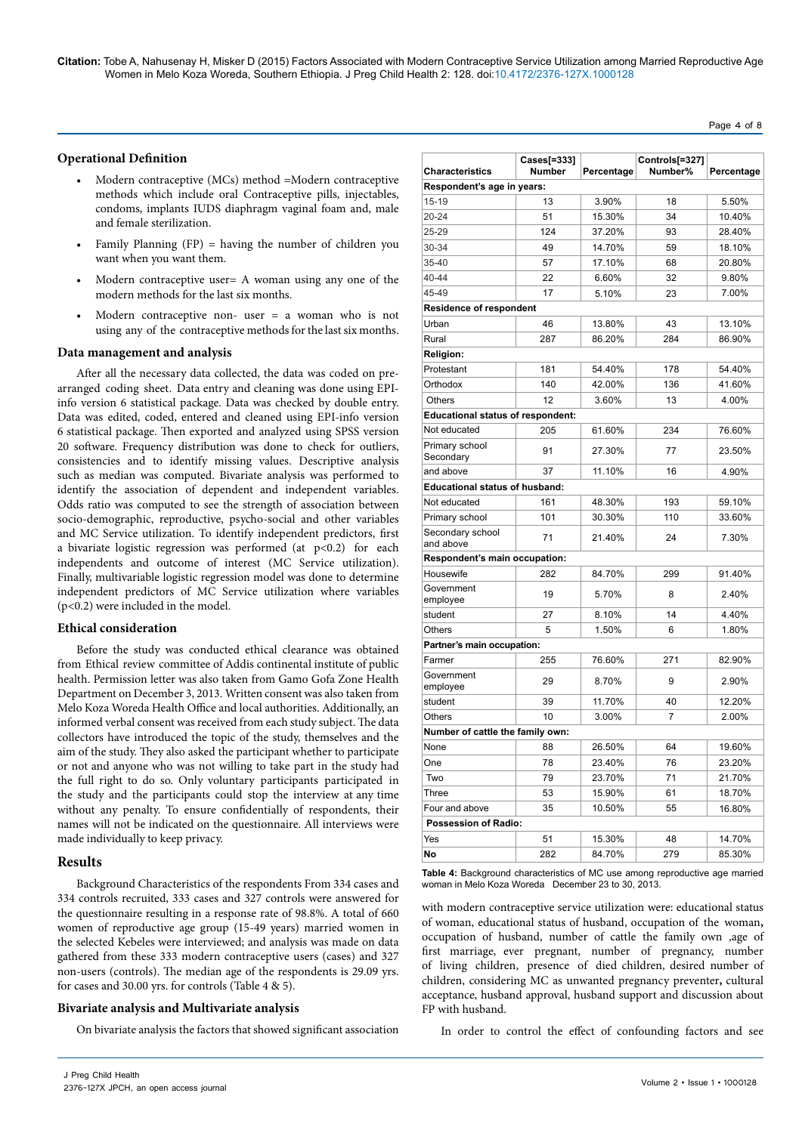# Page 4 of 8

#### **Operational Definition**

- Modern contraceptive (MCs) method =Modern contraceptive methods which include oral Contraceptive pills, injectables, condoms, implants IUDS diaphragm vaginal foam and, male and female sterilization.
- Family Planning (FP) = having the number of children you want when you want them.
- Modern contraceptive user $= A$  woman using any one of the modern methods for the last six months.
- Modern contraceptive non- user  $=$  a woman who is not using any of the contraceptive methods for the last six months.

#### **Data management and analysis**

After all the necessary data collected, the data was coded on prearranged coding sheet. Data entry and cleaning was done using EPIinfo version 6 statistical package. Data was checked by double entry. Data was edited, coded, entered and cleaned using EPI-info version 6 statistical package. Then exported and analyzed using SPSS version 20 software. Frequency distribution was done to check for outliers, consistencies and to identify missing values. Descriptive analysis such as median was computed. Bivariate analysis was performed to identify the association of dependent and independent variables. Odds ratio was computed to see the strength of association between socio-demographic, reproductive, psycho-social and other variables and MC Service utilization. To identify independent predictors, first a bivariate logistic regression was performed (at  $p<0.2$ ) for each independents and outcome of interest (MC Service utilization). Finally, multivariable logistic regression model was done to determine independent predictors of MC Service utilization where variables (p<0.2) were included in the model.

#### **Ethical consideration**

Before the study was conducted ethical clearance was obtained from Ethical review committee of Addis continental institute of public health. Permission letter was also taken from Gamo Gofa Zone Health Department on December 3, 2013. Written consent was also taken from Melo Koza Woreda Health Office and local authorities. Additionally, an informed verbal consent was received from each study subject. The data collectors have introduced the topic of the study, themselves and the aim of the study. They also asked the participant whether to participate or not and anyone who was not willing to take part in the study had the full right to do so. Only voluntary participants participated in the study and the participants could stop the interview at any time without any penalty. To ensure confidentially of respondents, their names will not be indicated on the questionnaire. All interviews were made individually to keep privacy.

# **Results**

Background Characteristics of the respondents From 334 cases and 334 controls recruited, 333 cases and 327 controls were answered for the questionnaire resulting in a response rate of 98.8%. A total of 660 women of reproductive age group (15-49 years) married women in the selected Kebeles were interviewed; and analysis was made on data gathered from these 333 modern contraceptive users (cases) and 327 non-users (controls). The median age of the respondents is 29.09 yrs. for cases and 30.00 yrs. for controls (Table 4 & 5).

# **Bivariate analysis and Multivariate analysis**

On bivariate analysis the factors that showed significant association

| <b>Characteristics</b>                   | Cases[=333]<br><b>Number</b> | Percentage | Controls[=327]<br>Number% | Percentage |  |  |  |  |
|------------------------------------------|------------------------------|------------|---------------------------|------------|--|--|--|--|
| Respondent's age in years:               |                              |            |                           |            |  |  |  |  |
| $15 - 19$                                | 13                           | 3.90%      | 18                        | 5.50%      |  |  |  |  |
| $20 - 24$                                | 51                           | 15.30%     | 34                        | 10.40%     |  |  |  |  |
| 25-29                                    | 124                          | 37.20%     | 93                        | 28.40%     |  |  |  |  |
| 30-34                                    | 49                           | 14.70%     | 59                        | 18.10%     |  |  |  |  |
| 35-40                                    | 57                           | 17.10%     | 68                        | 20.80%     |  |  |  |  |
| 40-44                                    | 22                           | 6.60%      | 32                        | 9.80%      |  |  |  |  |
| 45-49                                    | 17                           | 5.10%      | 23                        | 7.00%      |  |  |  |  |
| <b>Residence of respondent</b>           |                              |            |                           |            |  |  |  |  |
| Urban                                    | 46                           | 13.80%     | 43                        | 13.10%     |  |  |  |  |
| Rural                                    | 287                          | 86.20%     | 284                       | 86.90%     |  |  |  |  |
| Religion:                                |                              |            |                           |            |  |  |  |  |
| Protestant                               | 181                          | 54.40%     | 178                       | 54.40%     |  |  |  |  |
| Orthodox                                 | 140                          | 42.00%     | 136                       | 41.60%     |  |  |  |  |
| <b>Others</b>                            | 12                           | 3.60%      | 13                        | 4.00%      |  |  |  |  |
| <b>Educational status of respondent:</b> |                              |            |                           |            |  |  |  |  |
| Not educated                             | 205                          | 61.60%     | 234                       | 76.60%     |  |  |  |  |
| Primary school<br>Secondary              | 91                           | 27.30%     | 77                        | 23.50%     |  |  |  |  |
| and above                                | 37                           | 11.10%     | 16                        | 4.90%      |  |  |  |  |
| <b>Educational status of husband:</b>    |                              |            |                           |            |  |  |  |  |
| Not educated                             | 161                          | 48.30%     | 193                       | 59.10%     |  |  |  |  |
| Primary school                           | 101                          | 30.30%     | 110                       | 33.60%     |  |  |  |  |
| Secondary school<br>and above            | 71                           | 21.40%     | 24                        | 7.30%      |  |  |  |  |
| Respondent's main occupation:            |                              |            |                           |            |  |  |  |  |
| Housewife                                | 282                          | 84.70%     | 299                       | 91.40%     |  |  |  |  |
| Government<br>employee                   | 19                           | 5.70%      | 8                         | 2.40%      |  |  |  |  |
| student                                  | 27                           | 8.10%      | 14                        | 4.40%      |  |  |  |  |
| Others                                   | 5                            | 1.50%      | 6                         | 1.80%      |  |  |  |  |
| Partner's main occupation:               |                              |            |                           |            |  |  |  |  |
| Farmer                                   | 255                          | 76.60%     | 271                       | 82.90%     |  |  |  |  |
| Government<br>employee                   | 29                           | 8.70%      | 9                         | 2.90%      |  |  |  |  |
| student                                  | 39                           | 11.70%     | 40                        | 12.20%     |  |  |  |  |
| Others                                   | 10                           | 3.00%      | 7                         | 2.00%      |  |  |  |  |
| Number of cattle the family own:         |                              |            |                           |            |  |  |  |  |
| None                                     | 88                           | 26.50%     | 64                        | 19.60%     |  |  |  |  |
| One                                      | 78                           | 23.40%     | 76                        | 23.20%     |  |  |  |  |
| Two                                      | 79                           | 23.70%     | 71                        | 21.70%     |  |  |  |  |
| Three                                    | 53                           | 15.90%     | 61                        | 18.70%     |  |  |  |  |
| Four and above                           | 35                           | 10.50%     | 55                        | 16.80%     |  |  |  |  |
| <b>Possession of Radio:</b>              |                              |            |                           |            |  |  |  |  |
| Yes                                      | 51                           | 15.30%     | 48                        | 14.70%     |  |  |  |  |
| No                                       | 282                          | 84.70%     | 279                       | 85.30%     |  |  |  |  |

**Table 4:** Background characteristics of MC use among reproductive age married woman in Melo Koza Woreda December 23 to 30, 2013.

with modern contraceptive service utilization were: educational status of woman, educational status of husband, occupation of the woman**,**  occupation of husband, number of cattle the family own ,age of first marriage, ever pregnant, number of pregnancy, number of living children, presence of died children, desired number of children, considering MC as unwanted pregnancy preventer**,** cultural acceptance, husband approval, husband support and discussion about FP with husband.

In order to control the effect of confounding factors and see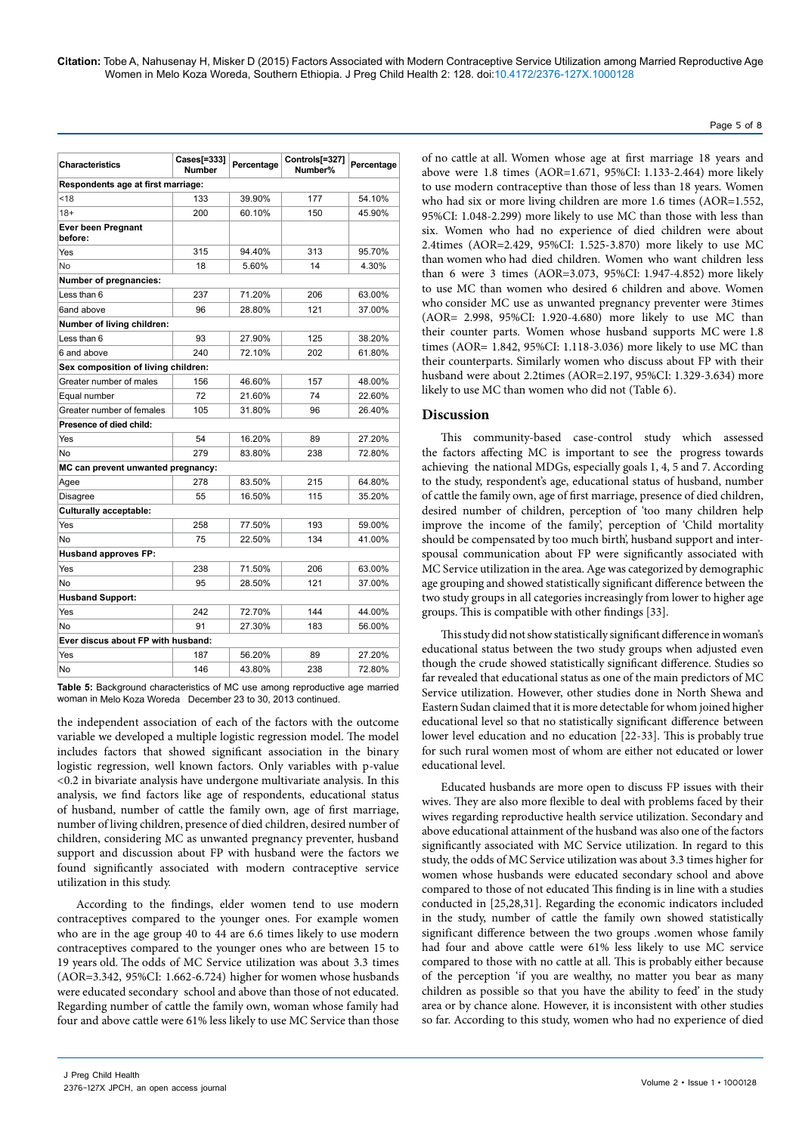| <b>Characteristics</b>               | Cases[=333]<br><b>Number</b>       | Percentage | Controls[=327]<br>Number% | Percentage |  |  |  |  |
|--------------------------------------|------------------------------------|------------|---------------------------|------------|--|--|--|--|
|                                      | Respondents age at first marriage: |            |                           |            |  |  |  |  |
| < 18                                 | 133                                | 39.90%     | 177                       | 54.10%     |  |  |  |  |
| $18+$                                | 200                                | 60.10%     | 150                       | 45.90%     |  |  |  |  |
| <b>Ever been Pregnant</b><br>before: |                                    |            |                           |            |  |  |  |  |
| Yes                                  | 315                                | 94.40%     | 313                       | 95.70%     |  |  |  |  |
| No                                   | 18                                 | 5.60%      | 14                        | 4.30%      |  |  |  |  |
| Number of pregnancies:               |                                    |            |                           |            |  |  |  |  |
| Less than 6                          | 237                                | 71.20%     | 206                       | 63.00%     |  |  |  |  |
| 6and above                           | 96                                 | 28.80%     | 121                       | 37.00%     |  |  |  |  |
| Number of living children:           |                                    |            |                           |            |  |  |  |  |
| Less than 6                          | 93                                 | 27.90%     | 125                       | 38.20%     |  |  |  |  |
| 6 and above                          | 240                                | 72.10%     | 202                       | 61.80%     |  |  |  |  |
| Sex composition of living children:  |                                    |            |                           |            |  |  |  |  |
| Greater number of males              | 156                                | 46.60%     | 157                       | 48.00%     |  |  |  |  |
| Equal number                         | 72                                 | 21.60%     | 74                        | 22.60%     |  |  |  |  |
| Greater number of females            | 105                                | 31.80%     | 96                        | 26.40%     |  |  |  |  |
| Presence of died child:              |                                    |            |                           |            |  |  |  |  |
| Yes                                  | 54                                 | 16.20%     | 89                        | 27.20%     |  |  |  |  |
| No                                   | 279                                | 83.80%     | 238                       | 72.80%     |  |  |  |  |
| MC can prevent unwanted pregnancy:   |                                    |            |                           |            |  |  |  |  |
| Agee                                 | 278                                | 83.50%     | 215                       | 64.80%     |  |  |  |  |
| Disagree                             | 55                                 | 16.50%     | 115                       | 35.20%     |  |  |  |  |
| <b>Culturally acceptable:</b>        |                                    |            |                           |            |  |  |  |  |
| Yes                                  | 258                                | 77.50%     | 193                       | 59.00%     |  |  |  |  |
| No                                   | 75                                 | 22.50%     | 134                       | 41.00%     |  |  |  |  |
| <b>Husband approves FP:</b>          |                                    |            |                           |            |  |  |  |  |
| Yes                                  | 238                                | 71.50%     | 206                       | 63.00%     |  |  |  |  |
| No                                   | 95                                 | 28.50%     | 121                       | 37.00%     |  |  |  |  |
| <b>Husband Support:</b>              |                                    |            |                           |            |  |  |  |  |
| Yes                                  | 242                                | 72.70%     | 144                       | 44.00%     |  |  |  |  |
| No                                   | 91                                 | 27.30%     | 183                       | 56.00%     |  |  |  |  |
| Ever discus about FP with husband:   |                                    |            |                           |            |  |  |  |  |
| Yes                                  | 187                                | 56.20%     | 89                        | 27.20%     |  |  |  |  |
| No                                   | 146                                | 43.80%     | 238                       | 72.80%     |  |  |  |  |

**Table 5:** Background characteristics of MC use among reproductive age married woman in Melo Koza Woreda December 23 to 30, 2013 continued.

the independent association of each of the factors with the outcome variable we developed a multiple logistic regression model. The model includes factors that showed significant association in the binary logistic regression, well known factors. Only variables with p-value <0.2 in bivariate analysis have undergone multivariate analysis. In this analysis, we find factors like age of respondents, educational status of husband, number of cattle the family own, age of first marriage, number of living children, presence of died children, desired number of children, considering MC as unwanted pregnancy preventer, husband support and discussion about FP with husband were the factors we found significantly associated with modern contraceptive service utilization in this study.

According to the findings, elder women tend to use modern contraceptives compared to the younger ones. For example women who are in the age group 40 to 44 are 6.6 times likely to use modern contraceptives compared to the younger ones who are between 15 to 19 years old. The odds of MC Service utilization was about 3.3 times (AOR=3.342, 95%CI: 1.662-6.724) higher for women whose husbands were educated secondary school and above than those of not educated. Regarding number of cattle the family own, woman whose family had four and above cattle were 61% less likely to use MC Service than those

of no cattle at all. Women whose age at first marriage 18 years and above were 1.8 times (AOR=1.671, 95%CI: 1.133-2.464) more likely to use modern contraceptive than those of less than 18 years. Women who had six or more living children are more 1.6 times (AOR=1.552, 95%CI: 1.048-2.299) more likely to use MC than those with less than six. Women who had no experience of died children were about 2.4times (AOR=2.429, 95%CI: 1.525-3.870) more likely to use MC than women who had died children. Women who want children less than 6 were 3 times (AOR=3.073, 95%CI: 1.947-4.852) more likely to use MC than women who desired 6 children and above. Women who consider MC use as unwanted pregnancy preventer were 3times (AOR= 2.998, 95%CI: 1.920-4.680) more likely to use MC than their counter parts. Women whose husband supports MC were 1.8 times (AOR= 1.842, 95%CI: 1.118-3.036) more likely to use MC than their counterparts. Similarly women who discuss about FP with their husband were about 2.2times (AOR=2.197, 95%CI: 1.329-3.634) more likely to use MC than women who did not (Table 6).

# **Discussion**

This community-based case-control study which assessed the factors affecting MC is important to see the progress towards achieving the national MDGs, especially goals 1, 4, 5 and 7. According to the study, respondent's age, educational status of husband, number of cattle the family own, age of first marriage, presence of died children, desired number of children, perception of 'too many children help improve the income of the family', perception of 'Child mortality should be compensated by too much birth', husband support and interspousal communication about FP were significantly associated with MC Service utilization in the area. Age was categorized by demographic age grouping and showed statistically significant difference between the two study groups in all categories increasingly from lower to higher age groups. This is compatible with other findings [33].

This study did not show statistically significant difference in woman's educational status between the two study groups when adjusted even though the crude showed statistically significant difference. Studies so far revealed that educational status as one of the main predictors of MC Service utilization. However, other studies done in North Shewa and Eastern Sudan claimed that it is more detectable for whom joined higher educational level so that no statistically significant difference between lower level education and no education [22-33]. This is probably true for such rural women most of whom are either not educated or lower educational level.

Educated husbands are more open to discuss FP issues with their wives. They are also more flexible to deal with problems faced by their wives regarding reproductive health service utilization. Secondary and above educational attainment of the husband was also one of the factors significantly associated with MC Service utilization. In regard to this study, the odds of MC Service utilization was about 3.3 times higher for women whose husbands were educated secondary school and above compared to those of not educated This finding is in line with a studies conducted in [25,28,31]. Regarding the economic indicators included in the study, number of cattle the family own showed statistically significant difference between the two groups .women whose family had four and above cattle were 61% less likely to use MC service compared to those with no cattle at all. This is probably either because of the perception 'if you are wealthy, no matter you bear as many children as possible so that you have the ability to feed' in the study area or by chance alone. However, it is inconsistent with other studies so far. According to this study, women who had no experience of died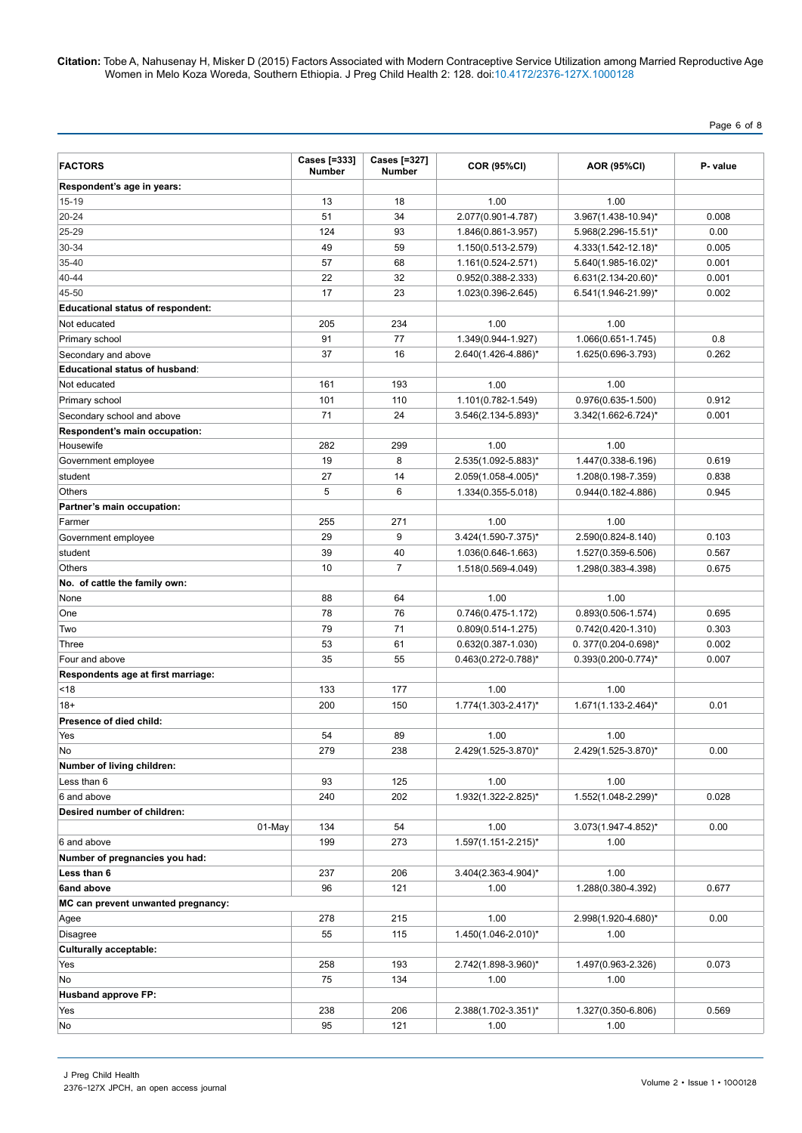**Citation:** Tobe A, Nahusenay H, Misker D (2015) Factors Associated with Modern Contraceptive Service Utilization among Married Reproductive Age Women in Melo Koza Woreda, Southern Ethiopia. J Preg Child Health 2: 128. doi:10.4172/2376-127X.1000128

Page 6 of 8

| <b>FACTORS</b>                           | Cases [=333]<br><b>Number</b> | Cases [=327]<br><b>Number</b> | <b>COR (95%CI)</b>     | <b>AOR (95%CI)</b>         | P- value |
|------------------------------------------|-------------------------------|-------------------------------|------------------------|----------------------------|----------|
| Respondent's age in years:               |                               |                               |                        |                            |          |
| $15 - 19$                                | 13                            | 18                            | 1.00                   | 1.00                       |          |
| $20 - 24$                                | 51                            | 34                            | 2.077(0.901-4.787)     | 3.967(1.438-10.94)*        | 0.008    |
| 25-29                                    | 124                           | 93                            | 1.846(0.861-3.957)     | 5.968(2.296-15.51)*        | 0.00     |
| 30-34                                    | 49                            | 59                            | 1.150(0.513-2.579)     | 4.333(1.542-12.18)*        | 0.005    |
| $35 - 40$                                | 57                            | 68                            | 1.161(0.524-2.571)     | 5.640(1.985-16.02)*        | 0.001    |
| 40-44                                    | 22                            | 32                            | $0.952(0.388 - 2.333)$ | 6.631(2.134-20.60)*        | 0.001    |
| 45-50                                    | 17                            | 23                            | 1.023(0.396-2.645)     | 6.541(1.946-21.99)*        | 0.002    |
| <b>Educational status of respondent:</b> |                               |                               |                        |                            |          |
| Not educated                             | 205                           | 234                           | 1.00                   | 1.00                       |          |
| Primary school                           | 91                            | 77                            | 1.349(0.944-1.927)     | 1.066(0.651-1.745)         | 0.8      |
| Secondary and above                      | 37                            | 16                            | 2.640(1.426-4.886)*    | 1.625(0.696-3.793)         | 0.262    |
| <b>Educational status of husband:</b>    |                               |                               |                        |                            |          |
| Not educated                             | 161                           | 193                           | 1.00                   | 1.00                       |          |
| Primary school                           | 101                           | 110                           | 1.101(0.782-1.549)     | 0.976(0.635-1.500)         | 0.912    |
| Secondary school and above               | 71                            | 24                            | 3.546(2.134-5.893)*    | 3.342(1.662-6.724)*        | 0.001    |
| Respondent's main occupation:            |                               |                               |                        |                            |          |
| Housewife                                | 282                           | 299                           | 1.00                   | 1.00                       |          |
| Government employee                      | 19                            | 8                             | 2.535(1.092-5.883)*    | 1.447(0.338-6.196)         | 0.619    |
| student                                  | 27                            | 14                            | 2.059(1.058-4.005)*    | 1.208(0.198-7.359)         | 0.838    |
| Others                                   | 5                             | 6                             | 1.334(0.355-5.018)     | $0.944(0.182 - 4.886)$     | 0.945    |
| Partner's main occupation:               |                               |                               |                        |                            |          |
| Farmer                                   | 255                           | 271                           | 1.00                   | 1.00                       |          |
| Government employee                      | 29                            | 9                             | 3.424(1.590-7.375)*    | 2.590(0.824-8.140)         | 0.103    |
| student                                  | 39                            | 40                            | 1.036(0.646-1.663)     | 1.527(0.359-6.506)         | 0.567    |
| Others                                   | 10                            | $\overline{7}$                | 1.518(0.569-4.049)     | 1.298(0.383-4.398)         | 0.675    |
| No. of cattle the family own:            |                               |                               |                        |                            |          |
| None                                     | 88                            | 64                            | 1.00                   | 1.00                       |          |
| One                                      | 78                            | 76                            | 0.746(0.475-1.172)     | $0.893(0.506 - 1.574)$     | 0.695    |
| Two                                      | 79                            | 71                            | $0.809(0.514 - 1.275)$ | $0.742(0.420-1.310)$       | 0.303    |
| Three                                    | 53                            | 61                            | $0.632(0.387 - 1.030)$ | $0.377(0.204 - 0.698)^{*}$ | 0.002    |
| Four and above                           | 35                            | 55                            | 0.463(0.272-0.788)*    | $0.393(0.200 - 0.774)^{*}$ | 0.007    |
| Respondents age at first marriage:       |                               |                               |                        |                            |          |
| $<$ 18                                   | 133                           | 177                           | 1.00                   | 1.00                       |          |
| $18+$                                    | 200                           | 150                           | 1.774(1.303-2.417)*    | 1.671(1.133-2.464)*        | 0.01     |
| Presence of died child:                  |                               |                               |                        |                            |          |
| Yes                                      | 54                            | 89                            | 1.00                   | 1.00                       |          |
| No.                                      | 279                           | 238                           | 2.429(1.525-3.870)*    | 2.429(1.525-3.870)*        | 0.00     |
| Number of living children:               |                               |                               |                        |                            |          |
| Less than 6                              | 93                            | 125                           | 1.00                   | 1.00                       |          |
| 6 and above                              | 240                           | 202                           | 1.932(1.322-2.825)*    | 1.552(1.048-2.299)*        | 0.028    |
| Desired number of children:              |                               |                               |                        |                            |          |
| $01$ -May                                | 134                           | 54                            | 1.00                   | 3.073(1.947-4.852)*        | 0.00     |
| 6 and above                              | 199                           | 273                           | 1.597(1.151-2.215)*    | 1.00                       |          |
| Number of pregnancies you had:           |                               |                               |                        |                            |          |
| Less than 6                              | 237                           | 206                           | 3.404(2.363-4.904)*    | 1.00                       |          |
| 6and above                               | 96                            | 121                           | 1.00                   | 1.288(0.380-4.392)         | 0.677    |
| MC can prevent unwanted pregnancy:       |                               |                               |                        |                            |          |
| Agee                                     | 278                           | 215                           | 1.00                   | 2.998(1.920-4.680)*        | 0.00     |
| Disagree                                 | 55                            | 115                           | 1.450(1.046-2.010)*    | 1.00                       |          |
| <b>Culturally acceptable:</b>            |                               |                               |                        |                            |          |
| Yes                                      | 258                           | 193                           | 2.742(1.898-3.960)*    | 1.497(0.963-2.326)         | 0.073    |
| No                                       | 75                            | 134                           | 1.00                   | 1.00                       |          |
| <b>Husband approve FP:</b>               |                               |                               |                        |                            |          |
| Yes                                      | 238                           | 206                           | 2.388(1.702-3.351)*    | 1.327(0.350-6.806)         | 0.569    |
| No                                       | 95                            | 121                           | 1.00                   | 1.00                       |          |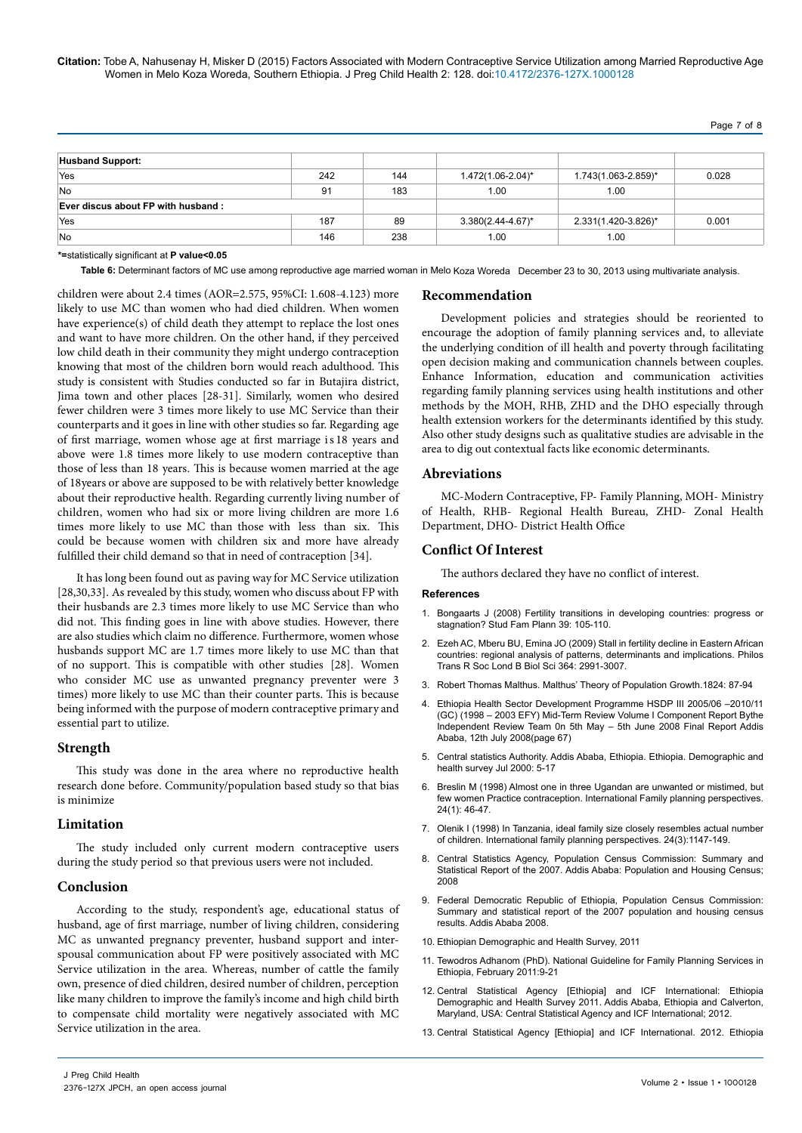| an n<br>ω |  | וו | я |
|-----------|--|----|---|
|-----------|--|----|---|

| <b>Husband Support:</b>            |     |     |                        |                     |       |
|------------------------------------|-----|-----|------------------------|---------------------|-------|
| Yes                                | 242 | 144 | $1.472(1.06-2.04)^{*}$ | 1.743(1.063-2.859)* | 0.028 |
| <b>No</b>                          | 91  | 183 | 1.00                   | 1.00                |       |
| Ever discus about FP with husband: |     |     |                        |                     |       |
| Yes                                | 187 | 89  | $3.380(2.44 - 4.67)^*$ | 2.331(1.420-3.826)* | 0.001 |
| <b>No</b>                          | 146 | 238 | 1.00                   | 1.00                |       |

#### **\*=**statistically significant at **P value<0.05**

**Table 6:** Determinant factors of MC use among reproductive age married woman in Melo Koza Woreda December 23 to 30, 2013 using multivariate analysis.

children were about 2.4 times (AOR=2.575, 95%CI: 1.608-4.123) more likely to use MC than women who had died children. When women have experience(s) of child death they attempt to replace the lost ones and want to have more children. On the other hand, if they perceived low child death in their community they might undergo contraception knowing that most of the children born would reach adulthood. This study is consistent with Studies conducted so far in Butajira district, Jima town and other places [28-31]. Similarly, women who desired fewer children were 3 times more likely to use MC Service than their counterparts and it goes in line with other studies so far. Regarding age of first marriage, women whose age at first marriage i s 18 years and above were 1.8 times more likely to use modern contraceptive than those of less than 18 years. This is because women married at the age of 18years or above are supposed to be with relatively better knowledge about their reproductive health. Regarding currently living number of children, women who had six or more living children are more 1.6 times more likely to use MC than those with less than six. This could be because women with children six and more have already fulfilled their child demand so that in need of contraception [34].

It has long been found out as paving way for MC Service utilization [28,30,33]. As revealed by this study, women who discuss about FP with their husbands are 2.3 times more likely to use MC Service than who did not. This finding goes in line with above studies. However, there are also studies which claim no difference. Furthermore, women whose husbands support MC are 1.7 times more likely to use MC than that of no support. This is compatible with other studies [28]. Women who consider MC use as unwanted pregnancy preventer were 3 times) more likely to use MC than their counter parts. This is because being informed with the purpose of modern contraceptive primary and essential part to utilize.

#### **Strength**

This study was done in the area where no reproductive health research done before. Community/population based study so that bias is minimize

#### **Limitation**

The study included only current modern contraceptive users during the study period so that previous users were not included.

# **Conclusion**

According to the study, respondent's age, educational status of husband, age of first marriage, number of living children, considering MC as unwanted pregnancy preventer, husband support and interspousal communication about FP were positively associated with MC Service utilization in the area. Whereas, number of cattle the family own, presence of died children, desired number of children, perception like many children to improve the family's income and high child birth to compensate child mortality were negatively associated with MC Service utilization in the area.

#### **Recommendation**

Development policies and strategies should be reoriented to encourage the adoption of family planning services and, to alleviate the underlying condition of ill health and poverty through facilitating open decision making and communication channels between couples. Enhance Information, education and communication activities regarding family planning services using health institutions and other methods by the MOH, RHB, ZHD and the DHO especially through health extension workers for the determinants identified by this study. Also other study designs such as qualitative studies are advisable in the area to dig out contextual facts like economic determinants.

#### **Abreviations**

MC-Modern Contraceptive, FP- Family Planning, MOH- Ministry of Health, RHB- Regional Health Bureau, ZHD- Zonal Health Department, DHO- District Health Office

#### **Conflict Of Interest**

The authors declared they have no conflict of interest.

#### **References**

- 1. [Bongaarts J \(2008\) Fertility transitions in developing countries: progress or](http://www.ncbi.nlm.nih.gov/pubmed/18678174)  [stagnation? Stud Fam Plann 39: 105-110.](http://www.ncbi.nlm.nih.gov/pubmed/18678174)
- 2. [Ezeh AC, Mberu BU, Emina JO \(2009\) Stall in fertility decline in Eastern African](http://r4d.dfid.gov.uk/Output/183804/)  [countries: regional analysis of patterns, determinants and implications. Philos](http://r4d.dfid.gov.uk/Output/183804/)  [Trans R Soc Lond B Biol Sci 364: 2991-3007.](http://r4d.dfid.gov.uk/Output/183804/)
- 3. Robert Thomas Malthus. Malthus' Theory of Population Growth.1824: 87-94
- 4. Ethiopia Health Sector Development Programme HSDP III 2005/06 –2010/11 (GC) (1998 – 2003 EFY) Mid-Term Review Volume I Component Report Bythe Independent Review Team 0n 5th May – 5th June 2008 Final Report Addis Ababa, 12th July 2008(page 67)
- 5. Central statistics Authority. Addis Ababa, Ethiopia. Ethiopia. Demographic and health survey Jul 2000: 5-17
- 6. [Breslin M \(1998\) Almost one in three Ugandan are unwanted or mistimed, but](http://www.popline.org/node/272872)  [few women Practice contraception. International Family planning perspectives.](http://www.popline.org/node/272872)  [24\(1\): 46-47.](http://www.popline.org/node/272872)
- 7. [Olenik I \(1998\) In Tanzania, ideal family size closely resembles actual number](http://connection.ebscohost.com/c/articles/1115226/tanzania-ideal-family-size-closely-resembles-actual-number-children)  [of children. International family planning perspectives. 24\(3\):1147-149.](http://connection.ebscohost.com/c/articles/1115226/tanzania-ideal-family-size-closely-resembles-actual-number-children)
- 8. Central Statistics Agency, Population Census Commission: Summary and Statistical Report of the 2007. Addis Ababa: Population and Housing Census; 2008
- 9. Federal Democratic Republic of Ethiopia, Population Census Commission: Summary and statistical report of the 2007 population and housing census results. Addis Ababa 2008.
- 10. Ethiopian Demographic and Health Survey, 2011
- 11. Tewodros Adhanom (PhD). National Guideline for Family Planning Services in Ethiopia, February 2011:9-21
- 12. [Central Statistical Agency \[Ethiopia\] and ICF International: Ethiopia](http://www.google.co.in/url?sa=t&rct=j&q=&esrc=s&source=web&cd=1&ved=0CB0QFjAA&url=http%3A%2F%2Fwww.usaid.gov%2Fsites%2Fdefault%2Ffiles%2Fdocuments%2F1860%2FDemographic%2520Health%2520Survey%25202011%2520Ethiopia%2520Final%2520Report.pdf&ei=XDLHVJPjH8_28QX-jYCADw&usg=AFQjCNEgsRDCKsCwJbmGJVyVlmmMzQ39Cw&sig2=31odl9g81w0nexBNXq00HA&bvm=bv.84607526,d.dGc&cad=rja)  [Demographic and Health Survey 2011. Addis Ababa, Ethiopia and Calverton,](http://www.google.co.in/url?sa=t&rct=j&q=&esrc=s&source=web&cd=1&ved=0CB0QFjAA&url=http%3A%2F%2Fwww.usaid.gov%2Fsites%2Fdefault%2Ffiles%2Fdocuments%2F1860%2FDemographic%2520Health%2520Survey%25202011%2520Ethiopia%2520Final%2520Report.pdf&ei=XDLHVJPjH8_28QX-jYCADw&usg=AFQjCNEgsRDCKsCwJbmGJVyVlmmMzQ39Cw&sig2=31odl9g81w0nexBNXq00HA&bvm=bv.84607526,d.dGc&cad=rja)  [Maryland, USA: Central Statistical Agency and ICF International; 2012.](http://www.google.co.in/url?sa=t&rct=j&q=&esrc=s&source=web&cd=1&ved=0CB0QFjAA&url=http%3A%2F%2Fwww.usaid.gov%2Fsites%2Fdefault%2Ffiles%2Fdocuments%2F1860%2FDemographic%2520Health%2520Survey%25202011%2520Ethiopia%2520Final%2520Report.pdf&ei=XDLHVJPjH8_28QX-jYCADw&usg=AFQjCNEgsRDCKsCwJbmGJVyVlmmMzQ39Cw&sig2=31odl9g81w0nexBNXq00HA&bvm=bv.84607526,d.dGc&cad=rja)
- 13. Central Statistical Agency [Ethiopia] and ICF International. 2012. Ethiopia